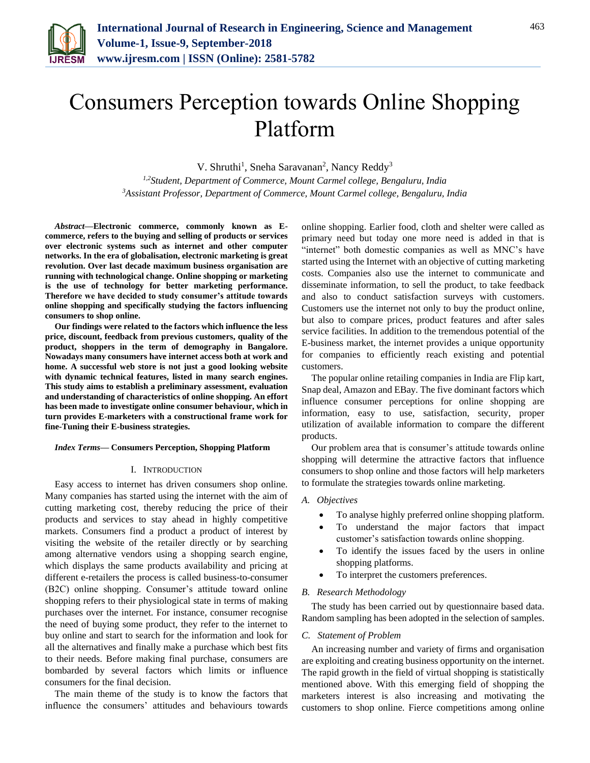

# Consumers Perception towards Online Shopping Platform

V. Shruthi<sup>1</sup>, Sneha Saravanan<sup>2</sup>, Nancy Reddy<sup>3</sup>

*1,2Student, Department of Commerce, Mount Carmel college, Bengaluru, India 3Assistant Professor, Department of Commerce, Mount Carmel college, Bengaluru, India*

*Abstract***—Electronic commerce, commonly known as Ecommerce, refers to the buying and selling of products or services over electronic systems such as internet and other computer networks. In the era of globalisation, electronic marketing is great revolution. Over last decade maximum business organisation are running with technological change. Online shopping or marketing is the use of technology for better marketing performance. Therefore we have decided to study consumer's attitude towards online shopping and specifically studying the factors influencing consumers to shop online.**

**Our findings were related to the factors which influence the less price, discount, feedback from previous customers, quality of the product, shoppers in the term of demography in Bangalore. Nowadays many consumers have internet access both at work and home. A successful web store is not just a good looking website with dynamic technical features, listed in many search engines. This study aims to establish a preliminary assessment, evaluation and understanding of characteristics of online shopping. An effort has been made to investigate online consumer behaviour, which in turn provides E-marketers with a constructional frame work for fine-Tuning their E-business strategies.**

#### *Index Terms***— Consumers Perception, Shopping Platform**

#### I. INTRODUCTION

Easy access to internet has driven consumers shop online. Many companies has started using the internet with the aim of cutting marketing cost, thereby reducing the price of their products and services to stay ahead in highly competitive markets. Consumers find a product a product of interest by visiting the website of the retailer directly or by searching among alternative vendors using a shopping search engine, which displays the same products availability and pricing at different e-retailers the process is called business-to-consumer (B2C) online shopping. Consumer's attitude toward online shopping refers to their physiological state in terms of making purchases over the internet. For instance, consumer recognise the need of buying some product, they refer to the internet to buy online and start to search for the information and look for all the alternatives and finally make a purchase which best fits to their needs. Before making final purchase, consumers are bombarded by several factors which limits or influence consumers for the final decision.

The main theme of the study is to know the factors that influence the consumers' attitudes and behaviours towards online shopping. Earlier food, cloth and shelter were called as primary need but today one more need is added in that is "internet" both domestic companies as well as MNC's have started using the Internet with an objective of cutting marketing costs. Companies also use the internet to communicate and disseminate information, to sell the product, to take feedback and also to conduct satisfaction surveys with customers. Customers use the internet not only to buy the product online, but also to compare prices, product features and after sales service facilities. In addition to the tremendous potential of the E-business market, the internet provides a unique opportunity for companies to efficiently reach existing and potential customers.

The popular online retailing companies in India are Flip kart, Snap deal, Amazon and EBay. The five dominant factors which influence consumer perceptions for online shopping are information, easy to use, satisfaction, security, proper utilization of available information to compare the different products.

Our problem area that is consumer's attitude towards online shopping will determine the attractive factors that influence consumers to shop online and those factors will help marketers to formulate the strategies towards online marketing.

## *A. Objectives*

- To analyse highly preferred online shopping platform.
- To understand the major factors that impact customer's satisfaction towards online shopping.
- To identify the issues faced by the users in online shopping platforms.
- To interpret the customers preferences.

# *B. Research Methodology*

The study has been carried out by questionnaire based data. Random sampling has been adopted in the selection of samples.

#### *C. Statement of Problem*

An increasing number and variety of firms and organisation are exploiting and creating business opportunity on the internet. The rapid growth in the field of virtual shopping is statistically mentioned above. With this emerging field of shopping the marketers interest is also increasing and motivating the customers to shop online. Fierce competitions among online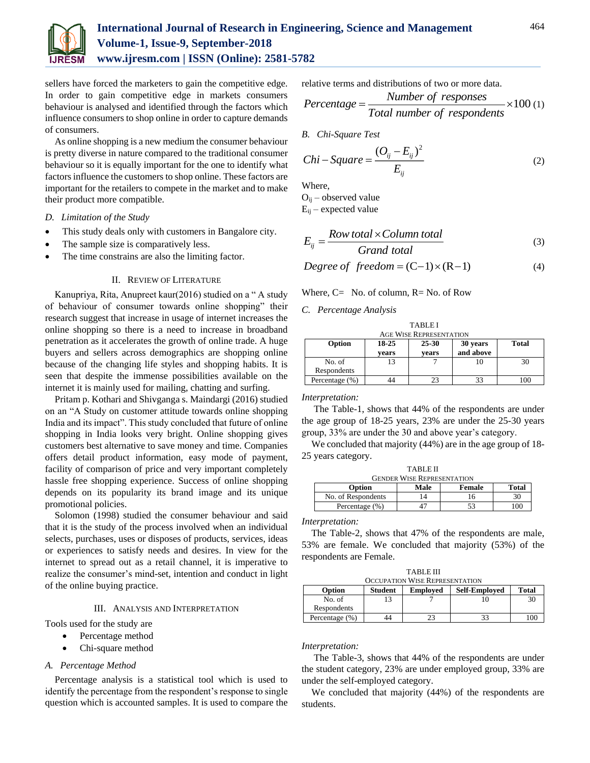

# **International Journal of Research in Engineering, Science and Management Volume-1, Issue-9, September-2018 www.ijresm.com | ISSN (Online): 2581-5782**

sellers have forced the marketers to gain the competitive edge. In order to gain competitive edge in markets consumers behaviour is analysed and identified through the factors which influence consumers to shop online in order to capture demands of consumers.

As online shopping is a new medium the consumer behaviour is pretty diverse in nature compared to the traditional consumer behaviour so it is equally important for the one to identify what factors influence the customers to shop online. These factors are important for the retailers to compete in the market and to make their product more compatible.

# *D. Limitation of the Study*

- This study deals only with customers in Bangalore city.
- The sample size is comparatively less.
- The time constrains are also the limiting factor.

# II. REVIEW OF LITERATURE

Kanupriya, Rita, Anupreet kaur(2016) studied on a " A study of behaviour of consumer towards online shopping" their research suggest that increase in usage of internet increases the online shopping so there is a need to increase in broadband penetration as it accelerates the growth of online trade. A huge buyers and sellers across demographics are shopping online because of the changing life styles and shopping habits. It is seen that despite the immense possibilities available on the internet it is mainly used for mailing, chatting and surfing.

Pritam p. Kothari and Shivganga s. Maindargi (2016) studied on an "A Study on customer attitude towards online shopping India and its impact". This study concluded that future of online shopping in India looks very bright. Online shopping gives customers best alternative to save money and time. Companies offers detail product information, easy mode of payment, facility of comparison of price and very important completely hassle free shopping experience. Success of online shopping depends on its popularity its brand image and its unique promotional policies.

Solomon (1998) studied the consumer behaviour and said that it is the study of the process involved when an individual selects, purchases, uses or disposes of products, services, ideas or experiences to satisfy needs and desires. In view for the internet to spread out as a retail channel, it is imperative to realize the consumer's mind-set, intention and conduct in light of the online buying practice.

## III. ANALYSIS AND INTERPRETATION

Tools used for the study are

- Percentage method
- Chi-square method

# *A. Percentage Method*

Percentage analysis is a statistical tool which is used to identify the percentage from the respondent's response to single question which is accounted samples. It is used to compare the relative terms and distributions of two or more data.

$$
Percentage = \frac{Number\ of\ responses}{Total\ number\ of\ respondents} \times 100\,(1)
$$

*B. Chi-Square Test* 

$$
Chi-Square = \frac{(O_{ij} - E_{ij})^2}{E_{ij}}
$$
 (2)

Where,

 $O_{ii}$  – observed value

 $E_{ii}$  – expected value

$$
E_{ij} = \frac{Row\ total \times Column\ total}{Grand\ total} \tag{3}
$$

$$
Degree of freedom = (C-1) \times (R-1)
$$
 (4)

Where,  $C=$  No. of column,  $R=$  No. of Row

#### *C. Percentage Analysis*

| <b>AGE WISE REPRESENTATION</b> |       |           |           |              |  |
|--------------------------------|-------|-----------|-----------|--------------|--|
| Option                         | 18-25 | $25 - 30$ | 30 years  | <b>Total</b> |  |
|                                | vears | vears     | and above |              |  |
| No. of                         | 13    |           |           | 30           |  |
| Respondents                    |       |           |           |              |  |
| Percentage (%)                 |       |           | 33        |              |  |

TABLE I

*Interpretation:*

The Table-1, shows that 44% of the respondents are under the age group of 18-25 years, 23% are under the 25-30 years group, 33% are under the 30 and above year's category.

We concluded that majority (44%) are in the age group of 18- 25 years category.

| <b>TABLE II</b>    |                                   |        |       |  |  |
|--------------------|-----------------------------------|--------|-------|--|--|
|                    | <b>GENDER WISE REPRESENTATION</b> |        |       |  |  |
| Option             | Male                              | Female | Total |  |  |
| No. of Respondents | 14                                | 16.    | 30    |  |  |
| Percentage (%)     |                                   | 53     | 00    |  |  |
|                    |                                   |        |       |  |  |

*Interpretation:*

The Table-2, shows that 47% of the respondents are male, 53% are female. We concluded that majority (53%) of the respondents are Female.

| <b>TABLE III</b>               |  |
|--------------------------------|--|
| OCCUPATION WISE REPRESENTATION |  |

| Option         | <b>Student</b> | <b>Employed</b> | <b>Self-Employed</b> | <b>Total</b> |
|----------------|----------------|-----------------|----------------------|--------------|
| No. of         |                |                 |                      |              |
| Respondents    |                |                 |                      |              |
| Percentage (%) | 44             |                 | 33                   | 100          |

#### *Interpretation:*

The Table-3, shows that 44% of the respondents are under the student category, 23% are under employed group, 33% are under the self-employed category.

We concluded that majority (44%) of the respondents are students.